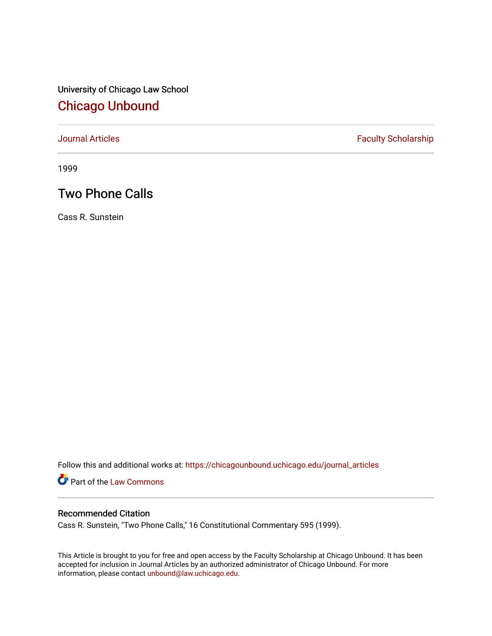University of Chicago Law School [Chicago Unbound](https://chicagounbound.uchicago.edu/)

[Journal Articles](https://chicagounbound.uchicago.edu/journal_articles) **Faculty Scholarship Faculty Scholarship** 

1999

## Two Phone Calls

Cass R. Sunstein

Follow this and additional works at: [https://chicagounbound.uchicago.edu/journal\\_articles](https://chicagounbound.uchicago.edu/journal_articles?utm_source=chicagounbound.uchicago.edu%2Fjournal_articles%2F8615&utm_medium=PDF&utm_campaign=PDFCoverPages) 

Part of the [Law Commons](http://network.bepress.com/hgg/discipline/578?utm_source=chicagounbound.uchicago.edu%2Fjournal_articles%2F8615&utm_medium=PDF&utm_campaign=PDFCoverPages)

## Recommended Citation

Cass R. Sunstein, "Two Phone Calls," 16 Constitutional Commentary 595 (1999).

This Article is brought to you for free and open access by the Faculty Scholarship at Chicago Unbound. It has been accepted for inclusion in Journal Articles by an authorized administrator of Chicago Unbound. For more information, please contact [unbound@law.uchicago.edu](mailto:unbound@law.uchicago.edu).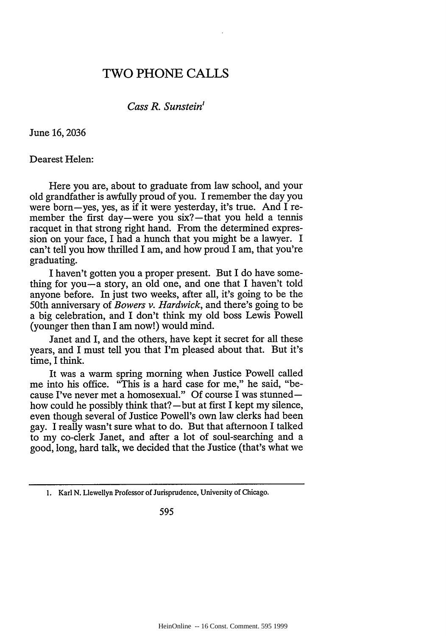## TWO PHONE CALLS

*Cass R. Sunstein'*

June 16,2036

Dearest Helen:

Here you are, about to graduate from law school, and your old grandfather is awfully proud of you. I remember the day you were born-yes, yes, as **if** it were yesterday, it's true. And I remember the first day—were you six?—that you held a tennis racquet in that strong right hand. From the determined expression on your face, I had a hunch that you might be a lawyer. I can't tell you how thrilled I am, and how proud I am, that you're graduating.

I haven't gotten you a proper present. But I do have something for you-a story, an old one, and one that I haven't told anyone before. In just two weeks, after all, it's going to be the 50th anniversary of *Bowers v. Hardwick,* and there's going to be a big celebration, and I don't think my old boss Lewis Powell (younger then than I am now!) would mind.

Janet and I, and the others, have kept it secret for all these years, and I must tell you that I'm pleased about that. But it's time, I think.

It was a warm spring morning when Justice Powell called me into his office. "This is a hard case for me," he said, "because I've never met a homosexual." Of course I was stunnedhow could he possibly think that? $-$ but at first I kept my silence, even though several of Justice Powell's own law clerks had been gay. I really wasn't sure what to do. But that afternoon I talked to my co-clerk Janet, and after a lot of soul-searching and a good, long, hard talk, we decided that the Justice (that's what we

595

<sup>1.</sup> Karl N. Llewellyn Professor of Jurisprudence, University of Chicago.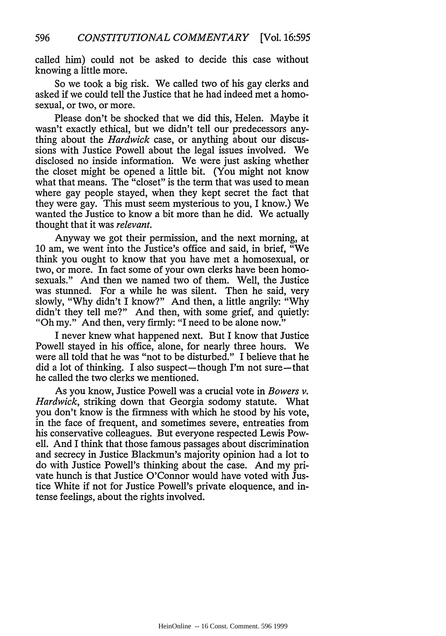called him) could not be asked to decide this case without knowing a little more.

So we took a big risk. We called two of his gay clerks and asked if we could tell the Justice that he had indeed met a homosexual, or two, or more.

Please don't be shocked that we did this, Helen. Maybe it wasn't exactly ethical, but we didn't tell our predecessors anything about the *Hardwick* case, or anything about our discussions with Justice Powell about the legal issues involved. We disclosed no inside information. We were just asking whether the closet might be opened a little bit. (You might not know what that means. The "closet" is the term that was used to mean where gay people stayed, when they kept secret the fact that they were gay. This must seem mysterious to you, I know.) We wanted the Justice to know a bit more than he did. We actually thought that it was *relevant.*

Anyway we got their permission, and the next morning, at **10** am, we went into the Justice's office and said, in brief, "We think you ought to know that you have met a homosexual, or two, or more. In fact some of your own clerks have been homosexuals." And then we named two of them. Well, the Justice was stunned. For a while he was silent. Then he said, very slowly, "Why didn't I know?" And then, a little angrily: "Why didn't they tell me?" And then, with some grief, and quietly: "Oh my." And then, very firmly: "I need to be alone now."

I never knew what happened next. But I know that Justice Powell stayed in his office, alone, for nearly three hours. We were all told that he was "not to be disturbed." I believe that he  $\text{did}$  a lot of thinking. I also suspect—though I'm not sure—that he called the two clerks we mentioned.

As you know, Justice Powell was a crucial vote in *Bowers v. Hardwick,* striking down that Georgia sodomy statute. What you don't know is the firmness with which he stood by his vote, in the face of frequent, and sometimes severe, entreaties from his conservative colleagues. But everyone respected Lewis Powell. And I think that those famous passages about discrimination and secrecy in Justice Blackmun's majority opinion had a lot to do with Justice Powell's thinking about the case. And my private hunch is that Justice O'Connor would have voted with Justice White if not for Justice Powell's private eloquence, and intense feelings, about the rights involved.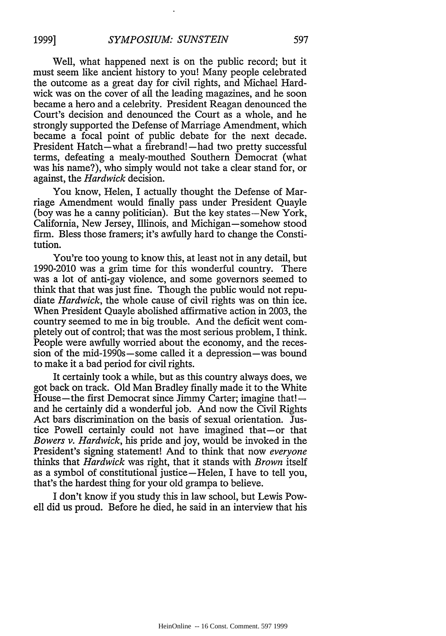Well, what happened next is on the public record; but it must seem like ancient history to you! Many people celebrated the outcome as a great day for civil rights, and Michael Hardwick was on the cover of all the leading magazines, and he soon became a hero and a celebrity. President Reagan denounced the Court's decision and denounced the Court as a whole, and he strongly supported the Defense of Marriage Amendment, which became a focal point of public debate for the next decade. President Hatch—what a firebrand!—had two pretty successful terms, defeating a mealy-mouthed Southern Democrat (what was his name?), who simply would not take a clear stand for, or against, the *Hardwick* decision.

You know, Helen, I actually thought the Defense of Marriage Amendment would finally pass under President Quayle (boy was he a canny politician). But the key states-New York, California, New Jersey, Illinois, and Michigan-somehow stood firm. Bless those framers; it's awfully hard to change the Constitution.

You're too young to know this, at least not in any detail, but 1990-2010 was a grim time for this wonderful country. There was a lot of anti-gay violence, and some governors seemed to think that that was just fine. Though the public would not repudiate *Hardwick,* the whole cause of civil rights was on thin ice. When President Quayle abolished affirmative action in 2003, the country seemed to me in big trouble. And the deficit went completely out of control; that was the most serious problem, I think. People were awfully worried about the economy, and the recession of the mid-1990s-some called it a depression-was bound to make it a bad period for civil rights.

It certainly took a while, but as this country always does, we got back on track. Old Man Bradley finally made it to the White House—the first Democrat since Jimmy Carter; imagine that! $$ and he certainly did a wonderful job. And now the Civil Rights Act bars discrimination on the basis of sexual orientation. Justice Powell certainly could not have imagined that-or that *Bowers v. Hardwick,* his pride and joy, would be invoked in the President's signing statement! And to think that now *everyone* thinks that *Hardwick* was right, that it stands with *Brown* itself as a symbol of constitutional justice-Helen, I have to tell you, that's the hardest thing for your old grampa to believe.

I don't know if you study this in law school, but Lewis Powell did us proud. Before he died, he said in an interview that his